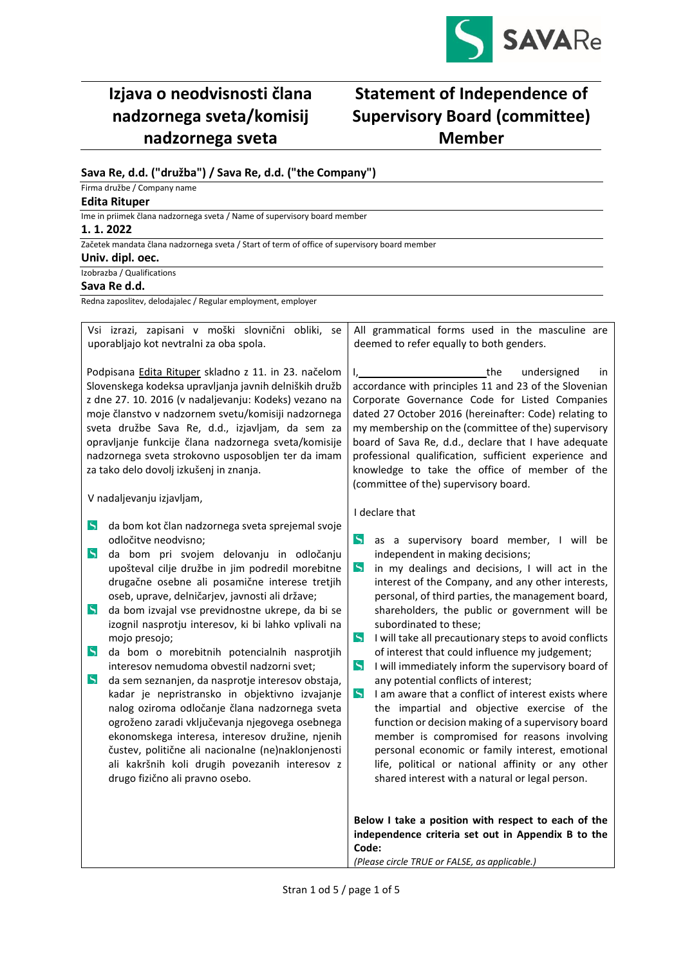

# **Izjava o neodvisnosti člana nadzornega sveta/komisij nadzornega sveta**

## **Statement of Independence of Supervisory Board (committee) Member**

## **Sava Re, d.d. ("družba") / Sava Re, d.d. ("the Company")**

Firma družbe / Company name

## **Edita Rituper**

Ime in priimek člana nadzornega sveta / Name of supervisory board member

### **1. 1. 2022**

Začetek mandata člana nadzornega sveta / Start of term of office of supervisory board member

### **Univ. dipl. oec.**

Izobrazba / Qualifications

### **Sava Re d.d.**

Redna zaposlitev, delodajalec / Regular employment, employer

| Vsi izrazi, zapisani v moški slovnični obliki, se<br>uporabljajo kot nevtralni za oba spola.                                                                                                                                                                                                                                                                                                                                                                             |                                                                                                                                                                                                                                                                                                                                                                                                                                                                                                                                                                                                                                                                                                                                                                                                                                                                                                                   |                                                                                                                                                                                                                                                                                                                                                                                                                                                                                 | All grammatical forms used in the masculine are<br>deemed to refer equally to both genders.                                                                                                                                                                                                                                                                                                                                                                                                                                                                                                                                                                                                                                                                                                                                                                                                                             |
|--------------------------------------------------------------------------------------------------------------------------------------------------------------------------------------------------------------------------------------------------------------------------------------------------------------------------------------------------------------------------------------------------------------------------------------------------------------------------|-------------------------------------------------------------------------------------------------------------------------------------------------------------------------------------------------------------------------------------------------------------------------------------------------------------------------------------------------------------------------------------------------------------------------------------------------------------------------------------------------------------------------------------------------------------------------------------------------------------------------------------------------------------------------------------------------------------------------------------------------------------------------------------------------------------------------------------------------------------------------------------------------------------------|---------------------------------------------------------------------------------------------------------------------------------------------------------------------------------------------------------------------------------------------------------------------------------------------------------------------------------------------------------------------------------------------------------------------------------------------------------------------------------|-------------------------------------------------------------------------------------------------------------------------------------------------------------------------------------------------------------------------------------------------------------------------------------------------------------------------------------------------------------------------------------------------------------------------------------------------------------------------------------------------------------------------------------------------------------------------------------------------------------------------------------------------------------------------------------------------------------------------------------------------------------------------------------------------------------------------------------------------------------------------------------------------------------------------|
| Podpisana Edita Rituper skladno z 11. in 23. načelom<br>Slovenskega kodeksa upravljanja javnih delniških družb<br>z dne 27. 10. 2016 (v nadaljevanju: Kodeks) vezano na<br>moje članstvo v nadzornem svetu/komisiji nadzornega<br>sveta družbe Sava Re, d.d., izjavljam, da sem za<br>opravljanje funkcije člana nadzornega sveta/komisije<br>nadzornega sveta strokovno usposobljen ter da imam<br>za tako delo dovolj izkušenj in znanja.<br>V nadaljevanju izjavljam, |                                                                                                                                                                                                                                                                                                                                                                                                                                                                                                                                                                                                                                                                                                                                                                                                                                                                                                                   | the<br>undersigned<br>$I_{\prime}$<br>in.<br>accordance with principles 11 and 23 of the Slovenian<br>Corporate Governance Code for Listed Companies<br>dated 27 October 2016 (hereinafter: Code) relating to<br>my membership on the (committee of the) supervisory<br>board of Sava Re, d.d., declare that I have adequate<br>professional qualification, sufficient experience and<br>knowledge to take the office of member of the<br>(committee of the) supervisory board. |                                                                                                                                                                                                                                                                                                                                                                                                                                                                                                                                                                                                                                                                                                                                                                                                                                                                                                                         |
| $\mathsf{S}$<br>$\mathcal{S}$<br>$\blacktriangleright$<br>$\mathcal{S}$<br>$\overline{\mathbf{S}}$                                                                                                                                                                                                                                                                                                                                                                       | da bom kot član nadzornega sveta sprejemal svoje<br>odločitve neodvisno;<br>da bom pri svojem delovanju in odločanju<br>upošteval cilje družbe in jim podredil morebitne<br>drugačne osebne ali posamične interese tretjih<br>oseb, uprave, delničarjev, javnosti ali države;<br>da bom izvajal vse previdnostne ukrepe, da bi se<br>izognil nasprotju interesov, ki bi lahko vplivali na<br>mojo presojo;<br>da bom o morebitnih potencialnih nasprotjih<br>interesov nemudoma obvestil nadzorni svet;<br>da sem seznanjen, da nasprotje interesov obstaja,<br>kadar je nepristransko in objektivno izvajanje<br>nalog oziroma odločanje člana nadzornega sveta<br>ogroženo zaradi vključevanja njegovega osebnega<br>ekonomskega interesa, interesov družine, njenih<br>čustev, politične ali nacionalne (ne)naklonjenosti<br>ali kakršnih koli drugih povezanih interesov z<br>drugo fizično ali pravno osebo. | $\zeta$<br>$\mathcal{S}$<br>$\overline{\mathbf{S}}$<br>$\zeta$<br>$\mathcal{S}$                                                                                                                                                                                                                                                                                                                                                                                                 | I declare that<br>as a supervisory board member, I will be<br>independent in making decisions;<br>in my dealings and decisions, I will act in the<br>interest of the Company, and any other interests,<br>personal, of third parties, the management board,<br>shareholders, the public or government will be<br>subordinated to these;<br>I will take all precautionary steps to avoid conflicts<br>of interest that could influence my judgement;<br>I will immediately inform the supervisory board of<br>any potential conflicts of interest;<br>I am aware that a conflict of interest exists where<br>the impartial and objective exercise of the<br>function or decision making of a supervisory board<br>member is compromised for reasons involving<br>personal economic or family interest, emotional<br>life, political or national affinity or any other<br>shared interest with a natural or legal person. |
|                                                                                                                                                                                                                                                                                                                                                                                                                                                                          |                                                                                                                                                                                                                                                                                                                                                                                                                                                                                                                                                                                                                                                                                                                                                                                                                                                                                                                   | Code:                                                                                                                                                                                                                                                                                                                                                                                                                                                                           | Below I take a position with respect to each of the<br>independence criteria set out in Appendix B to the<br>(Please circle TRUE or FALSE, as applicable.)                                                                                                                                                                                                                                                                                                                                                                                                                                                                                                                                                                                                                                                                                                                                                              |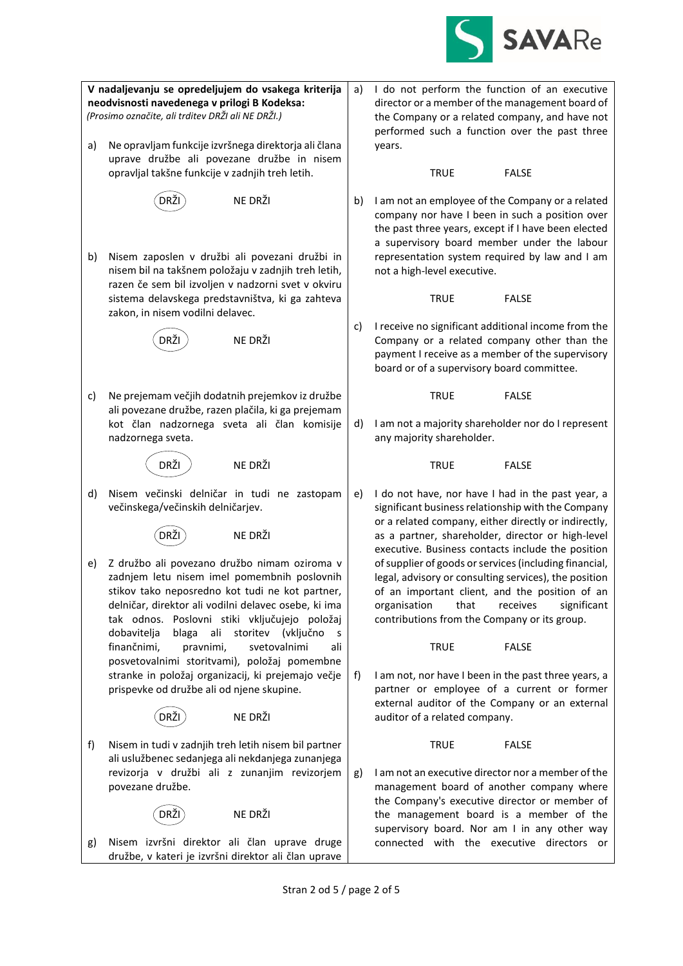

**V nadaljevanju se opredeljujem do vsakega kriterija neodvisnosti navedenega v prilogi B Kodeksa:** *(Prosimo označite, ali trditev DRŽI ali NE DRŽI.)* a) Ne opravljam funkcije izvršnega direktorja ali člana uprave družbe ali povezane družbe in nisem opravljal takšne funkcije v zadnjih treh letih.  $(DR\check{Z})$   $N$ e drži b) Nisem zaposlen v družbi ali povezani družbi in nisem bil na takšnem položaju v zadnjih treh letih, razen če sem bil izvoljen v nadzorni svet v okviru sistema delavskega predstavništva, ki ga zahteva zakon, in nisem vodilni delavec. DRŽI NE DRŽI c) Ne prejemam večjih dodatnih prejemkov iz družbe ali povezane družbe, razen plačila, ki ga prejemam kot član nadzornega sveta ali član komisije nadzornega sveta. DRŽI NE DRŽI d) Nisem večinski delničar in tudi ne zastopam večinskega/večinskih delničarjev.  $(DR\boldsymbol{\check{Z}})$  NE DRŽI e) Z družbo ali povezano družbo nimam oziroma v zadnjem letu nisem imel pomembnih poslovnih stikov tako neposredno kot tudi ne kot partner, delničar, direktor ali vodilni delavec osebe, ki ima tak odnos. Poslovni stiki vključujejo položaj dobavitelja blaga ali storitev (vključno s finančnimi, pravnimi, svetovalnimi ali posvetovalnimi storitvami), položaj pomembne stranke in položaj organizacij, ki prejemajo večje prispevke od družbe ali od njene skupine. DRŽI NE DRŽI f) Nisem in tudi v zadnjih treh letih nisem bil partner ali uslužbenec sedanjega ali nekdanjega zunanjega revizorja v družbi ali z zunanjim revizorjem povezane družbe.  $(DR\check{Z})$  NE DRŽI g) Nisem izvršni direktor ali član uprave druge družbe, v kateri je izvršni direktor ali član uprave a) I do not perform the function of an executive director or a member of the management board of the Company or a related company, and have not performed such a function over the past three years. TRUE FALSE b) I am not an employee of the Company or a related company nor have I been in such a position over the past three years, except if I have been elected a supervisory board member under the labour representation system required by law and I am not a high-level executive. TRUE FALSE c) I receive no significant additional income from the Company or a related company other than the payment I receive as a member of the supervisory board or of a supervisory board committee. TRUE FALSE d) I am not a majority shareholder nor do I represent any majority shareholder. TRUE FALSE e) I do not have, nor have I had in the past year, a significant business relationship with the Company or a related company, either directly or indirectly, as a partner, shareholder, director or high-level executive. Business contacts include the position of supplier of goods or services (including financial, legal, advisory or consulting services), the position of an important client, and the position of an organisation that receives significant contributions from the Company or its group. TRUE FALSE f) I am not, nor have I been in the past three years, a partner or employee of a current or former external auditor of the Company or an external auditor of a related company. TRUE FALSE g) I am not an executive director nor a member of the management board of another company where the Company's executive director or member of the management board is a member of the supervisory board. Nor am I in any other way connected with the executive directors or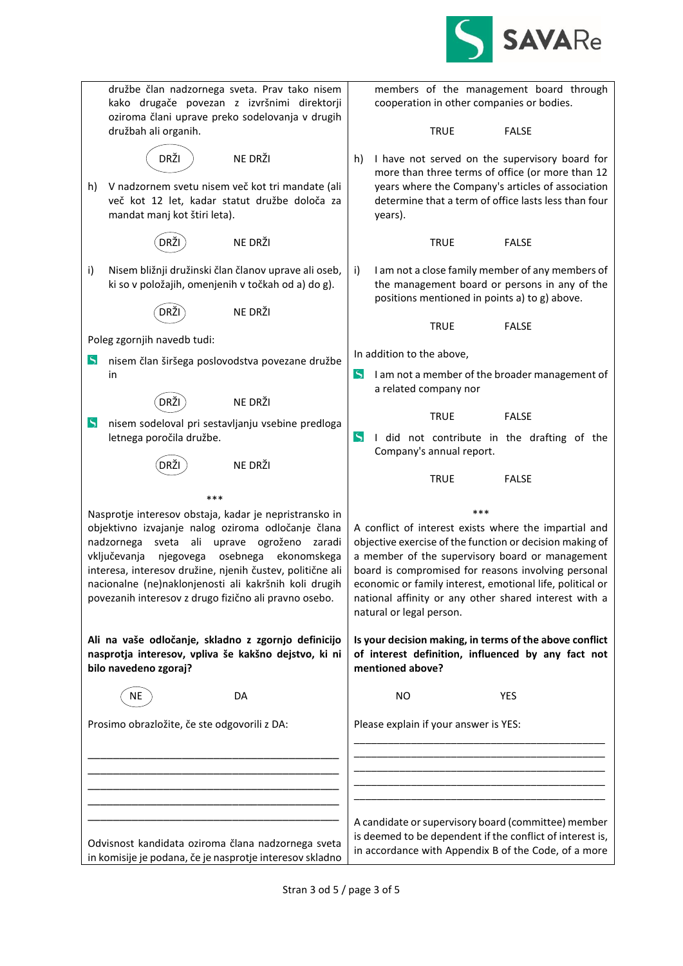

| družbe član nadzornega sveta. Prav tako nisem<br>kako drugače povezan z izvršnimi direktorji<br>oziroma člani uprave preko sodelovanja v drugih                                                                                                                                                                                                   |    | members of the management board through<br>cooperation in other companies or bodies.                                                                                                                                                                                                                                                                                          |
|---------------------------------------------------------------------------------------------------------------------------------------------------------------------------------------------------------------------------------------------------------------------------------------------------------------------------------------------------|----|-------------------------------------------------------------------------------------------------------------------------------------------------------------------------------------------------------------------------------------------------------------------------------------------------------------------------------------------------------------------------------|
| družbah ali organih.                                                                                                                                                                                                                                                                                                                              |    | <b>TRUE</b><br><b>FALSE</b>                                                                                                                                                                                                                                                                                                                                                   |
| DRŽI<br>NE DRŽI<br>V nadzornem svetu nisem več kot tri mandate (ali<br>h)                                                                                                                                                                                                                                                                         |    | I have not served on the supervisory board for<br>h)<br>more than three terms of office (or more than 12<br>years where the Company's articles of association                                                                                                                                                                                                                 |
| več kot 12 let, kadar statut družbe določa za<br>mandat manj kot štiri leta).                                                                                                                                                                                                                                                                     |    | determine that a term of office lasts less than four<br>years).                                                                                                                                                                                                                                                                                                               |
| NE DRŽI                                                                                                                                                                                                                                                                                                                                           |    | <b>TRUE</b><br><b>FALSE</b>                                                                                                                                                                                                                                                                                                                                                   |
| Nisem bližnji družinski član članov uprave ali oseb,<br>i)<br>ki so v položajih, omenjenih v točkah od a) do g).                                                                                                                                                                                                                                  | i) | I am not a close family member of any members of<br>the management board or persons in any of the<br>positions mentioned in points a) to g) above.                                                                                                                                                                                                                            |
| NE DRŽI                                                                                                                                                                                                                                                                                                                                           |    | <b>FALSE</b><br><b>TRUE</b>                                                                                                                                                                                                                                                                                                                                                   |
| Poleg zgornjih navedb tudi:                                                                                                                                                                                                                                                                                                                       |    |                                                                                                                                                                                                                                                                                                                                                                               |
| $\blacktriangleright$<br>nisem član širšega poslovodstva povezane družbe                                                                                                                                                                                                                                                                          |    | In addition to the above,                                                                                                                                                                                                                                                                                                                                                     |
| in                                                                                                                                                                                                                                                                                                                                                |    | $\blacktriangleright$<br>I am not a member of the broader management of<br>a related company nor                                                                                                                                                                                                                                                                              |
| NE DRŽI<br>DRŽI<br>$\mathcal{S}$<br>nisem sodeloval pri sestavljanju vsebine predloga                                                                                                                                                                                                                                                             |    | <b>TRUE</b><br><b>FALSE</b>                                                                                                                                                                                                                                                                                                                                                   |
| letnega poročila družbe.                                                                                                                                                                                                                                                                                                                          |    | $\blacktriangleright$<br>I did not contribute in the drafting of the<br>Company's annual report.                                                                                                                                                                                                                                                                              |
| NE DRŽI<br>DRZ                                                                                                                                                                                                                                                                                                                                    |    | <b>TRUE</b><br><b>FALSE</b>                                                                                                                                                                                                                                                                                                                                                   |
| ***                                                                                                                                                                                                                                                                                                                                               |    |                                                                                                                                                                                                                                                                                                                                                                               |
| Nasprotje interesov obstaja, kadar je nepristransko in                                                                                                                                                                                                                                                                                            |    | ***                                                                                                                                                                                                                                                                                                                                                                           |
| objektivno izvajanje nalog oziroma odločanje člana<br>sveta<br>ali uprave<br>ogroženo zaradi<br>nadzornega<br>vključevanja<br>njegovega<br>osebnega<br>ekonomskega<br>interesa, interesov družine, njenih čustev, politične ali<br>nacionalne (ne)naklonjenosti ali kakršnih koli drugih<br>povezanih interesov z drugo fizično ali pravno osebo. |    | A conflict of interest exists where the impartial and<br>objective exercise of the function or decision making of<br>a member of the supervisory board or management<br>board is compromised for reasons involving personal<br>economic or family interest, emotional life, political or<br>national affinity or any other shared interest with a<br>natural or legal person. |
| Ali na vaše odločanje, skladno z zgornjo definicijo<br>nasprotja interesov, vpliva še kakšno dejstvo, ki ni<br>bilo navedeno zgoraj?                                                                                                                                                                                                              |    | Is your decision making, in terms of the above conflict<br>of interest definition, influenced by any fact not<br>mentioned above?                                                                                                                                                                                                                                             |
| NE<br>DA                                                                                                                                                                                                                                                                                                                                          |    | <b>YES</b><br><b>NO</b>                                                                                                                                                                                                                                                                                                                                                       |
| Prosimo obrazložite, če ste odgovorili z DA:                                                                                                                                                                                                                                                                                                      |    | Please explain if your answer is YES:                                                                                                                                                                                                                                                                                                                                         |
|                                                                                                                                                                                                                                                                                                                                                   |    |                                                                                                                                                                                                                                                                                                                                                                               |
|                                                                                                                                                                                                                                                                                                                                                   |    |                                                                                                                                                                                                                                                                                                                                                                               |
|                                                                                                                                                                                                                                                                                                                                                   |    |                                                                                                                                                                                                                                                                                                                                                                               |
| Odvisnost kandidata oziroma člana nadzornega sveta                                                                                                                                                                                                                                                                                                |    | A candidate or supervisory board (committee) member<br>is deemed to be dependent if the conflict of interest is,<br>in accordance with Appendix B of the Code, of a more                                                                                                                                                                                                      |
| in komisije je podana, če je nasprotje interesov skladno                                                                                                                                                                                                                                                                                          |    |                                                                                                                                                                                                                                                                                                                                                                               |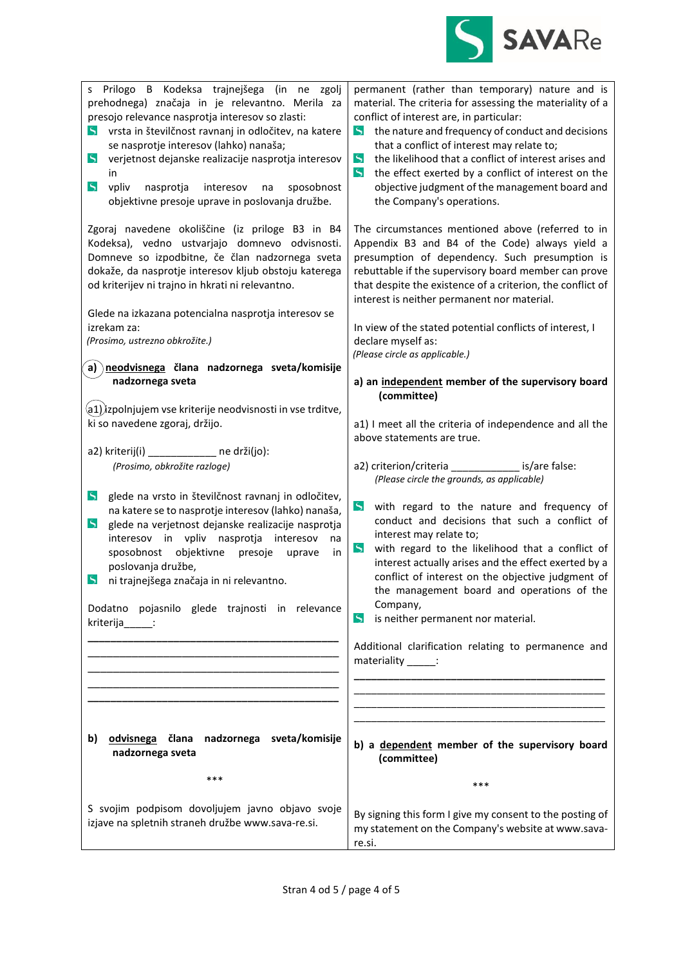

| Prilogo B Kodeksa trajnejšega (in ne zgolj<br>S<br>prehodnega) značaja in je relevantno. Merila za<br>presojo relevance nasprotja interesov so zlasti:<br>vrsta in številčnost ravnanj in odločitev, na katere<br>$\triangleright$<br>se nasprotje interesov (lahko) nanaša;<br>$\mathsf{S}$<br>verjetnost dejanske realizacije nasprotja interesov<br>in<br>$\overline{\mathcal{L}}$<br>vpliv<br>nasprotja<br>interesov<br>sposobnost<br>na<br>objektivne presoje uprave in poslovanja družbe. | permanent (rather than temporary) nature and is<br>material. The criteria for assessing the materiality of a<br>conflict of interest are, in particular:<br>the nature and frequency of conduct and decisions<br>$\blacktriangleright$<br>that a conflict of interest may relate to;<br>$\varsigma$<br>the likelihood that a conflict of interest arises and<br>$\mathcal{S}$<br>the effect exerted by a conflict of interest on the<br>objective judgment of the management board and<br>the Company's operations. |
|-------------------------------------------------------------------------------------------------------------------------------------------------------------------------------------------------------------------------------------------------------------------------------------------------------------------------------------------------------------------------------------------------------------------------------------------------------------------------------------------------|---------------------------------------------------------------------------------------------------------------------------------------------------------------------------------------------------------------------------------------------------------------------------------------------------------------------------------------------------------------------------------------------------------------------------------------------------------------------------------------------------------------------|
| Zgoraj navedene okoliščine (iz priloge B3 in B4<br>Kodeksa), vedno ustvarjajo domnevo odvisnosti.<br>Domneve so izpodbitne, če član nadzornega sveta<br>dokaže, da nasprotje interesov kljub obstoju katerega<br>od kriterijev ni trajno in hkrati ni relevantno.                                                                                                                                                                                                                               | The circumstances mentioned above (referred to in<br>Appendix B3 and B4 of the Code) always yield a<br>presumption of dependency. Such presumption is<br>rebuttable if the supervisory board member can prove<br>that despite the existence of a criterion, the conflict of<br>interest is neither permanent nor material.                                                                                                                                                                                          |
| Glede na izkazana potencialna nasprotja interesov se<br>izrekam za:<br>(Prosimo, ustrezno obkrožite.)                                                                                                                                                                                                                                                                                                                                                                                           | In view of the stated potential conflicts of interest, I<br>declare myself as:<br>(Please circle as applicable.)                                                                                                                                                                                                                                                                                                                                                                                                    |
| a) neodvisnega člana nadzornega sveta/komisije<br>nadzornega sveta                                                                                                                                                                                                                                                                                                                                                                                                                              | a) an independent member of the supervisory board<br>(committee)                                                                                                                                                                                                                                                                                                                                                                                                                                                    |
| $\mathsf{(a1)}$ izpolnjujem vse kriterije neodvisnosti in vse trditve,<br>ki so navedene zgoraj, držijo.                                                                                                                                                                                                                                                                                                                                                                                        | a1) I meet all the criteria of independence and all the<br>above statements are true.                                                                                                                                                                                                                                                                                                                                                                                                                               |
| a2) kriterij(i) ___________ ne drži(jo):<br>(Prosimo, obkrožite razloge)                                                                                                                                                                                                                                                                                                                                                                                                                        | a2) criterion/criteria ______________ is/are false:<br>(Please circle the grounds, as applicable)                                                                                                                                                                                                                                                                                                                                                                                                                   |
| $\mathsf{S}$<br>glede na vrsto in številčnost ravnanj in odločitev,<br>na katere se to nasprotje interesov (lahko) nanaša,<br>$\mathsf{S}$<br>glede na verjetnost dejanske realizacije nasprotja<br>interesov in vpliv nasprotja interesov<br>na<br>sposobnost objektivne<br>presoje<br>uprave<br>in<br>poslovanja družbe,<br>ni trajnejšega značaja in ni relevantno.<br>$\blacktriangleright$                                                                                                 | $\mathsf{S}$<br>with regard to the nature and frequency of<br>conduct and decisions that such a conflict of<br>interest may relate to;<br>$\mathsf{S}$<br>with regard to the likelihood that a conflict of<br>interest actually arises and the effect exerted by a<br>conflict of interest on the objective judgment of<br>the management board and operations of the                                                                                                                                               |
| Dodatno pojasnilo glede trajnosti in relevance<br>kriterija :                                                                                                                                                                                                                                                                                                                                                                                                                                   | Company,<br>$\mathcal{S}$<br>is neither permanent nor material.                                                                                                                                                                                                                                                                                                                                                                                                                                                     |
|                                                                                                                                                                                                                                                                                                                                                                                                                                                                                                 | Additional clarification relating to permanence and<br>materiality ______:                                                                                                                                                                                                                                                                                                                                                                                                                                          |
|                                                                                                                                                                                                                                                                                                                                                                                                                                                                                                 |                                                                                                                                                                                                                                                                                                                                                                                                                                                                                                                     |
| odvisnega člana nadzornega sveta/komisije<br>b)<br>nadzornega sveta                                                                                                                                                                                                                                                                                                                                                                                                                             | b) a dependent member of the supervisory board<br>(committee)                                                                                                                                                                                                                                                                                                                                                                                                                                                       |
| ***                                                                                                                                                                                                                                                                                                                                                                                                                                                                                             | ***                                                                                                                                                                                                                                                                                                                                                                                                                                                                                                                 |
| S svojim podpisom dovoljujem javno objavo svoje<br>izjave na spletnih straneh družbe www.sava-re.si.                                                                                                                                                                                                                                                                                                                                                                                            | By signing this form I give my consent to the posting of<br>my statement on the Company's website at www.sava-<br>re.si.                                                                                                                                                                                                                                                                                                                                                                                            |